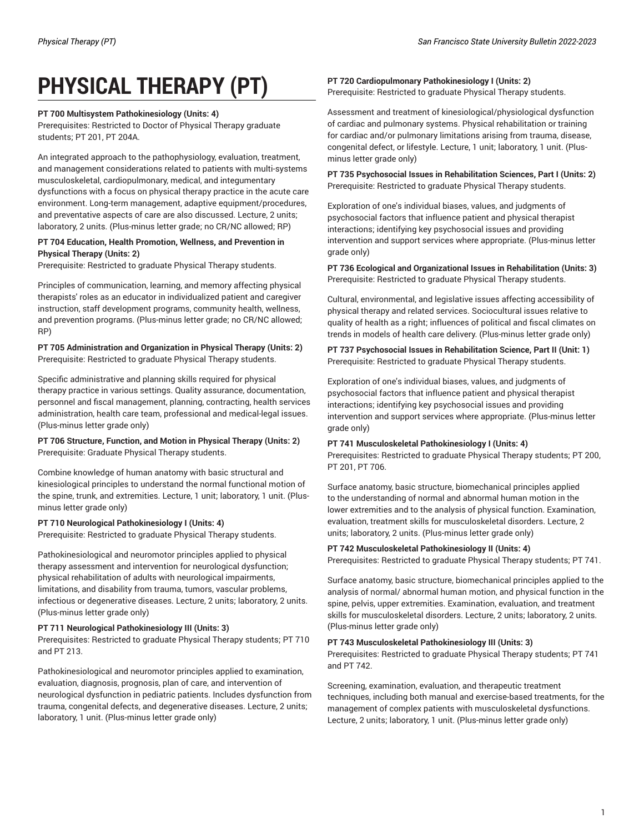# **PHYSICAL THERAPY (PT)**

# **PT 700 Multisystem Pathokinesiology (Units: 4)**

Prerequisites: Restricted to Doctor of Physical Therapy graduate students; PT 201, PT 204A.

An integrated approach to the pathophysiology, evaluation, treatment, and management considerations related to patients with multi-systems musculoskeletal, cardiopulmonary, medical, and integumentary dysfunctions with a focus on physical therapy practice in the acute care environment. Long-term management, adaptive equipment/procedures, and preventative aspects of care are also discussed. Lecture, 2 units; laboratory, 2 units. (Plus-minus letter grade; no CR/NC allowed; RP)

# **PT 704 Education, Health Promotion, Wellness, and Prevention in Physical Therapy (Units: 2)**

Prerequisite: Restricted to graduate Physical Therapy students.

Principles of communication, learning, and memory affecting physical therapists' roles as an educator in individualized patient and caregiver instruction, staff development programs, community health, wellness, and prevention programs. (Plus-minus letter grade; no CR/NC allowed; RP)

# **PT 705 Administration and Organization in Physical Therapy (Units: 2)** Prerequisite: Restricted to graduate Physical Therapy students.

Specific administrative and planning skills required for physical therapy practice in various settings. Quality assurance, documentation, personnel and fiscal management, planning, contracting, health services administration, health care team, professional and medical-legal issues. (Plus-minus letter grade only)

**PT 706 Structure, Function, and Motion in Physical Therapy (Units: 2)** Prerequisite: Graduate Physical Therapy students.

Combine knowledge of human anatomy with basic structural and kinesiological principles to understand the normal functional motion of the spine, trunk, and extremities. Lecture, 1 unit; laboratory, 1 unit. (Plusminus letter grade only)

# **PT 710 Neurological Pathokinesiology I (Units: 4)**

Prerequisite: Restricted to graduate Physical Therapy students.

Pathokinesiological and neuromotor principles applied to physical therapy assessment and intervention for neurological dysfunction; physical rehabilitation of adults with neurological impairments, limitations, and disability from trauma, tumors, vascular problems, infectious or degenerative diseases. Lecture, 2 units; laboratory, 2 units. (Plus-minus letter grade only)

# **PT 711 Neurological Pathokinesiology III (Units: 3)**

Prerequisites: Restricted to graduate Physical Therapy students; PT 710 and PT 213.

Pathokinesiological and neuromotor principles applied to examination, evaluation, diagnosis, prognosis, plan of care, and intervention of neurological dysfunction in pediatric patients. Includes dysfunction from trauma, congenital defects, and degenerative diseases. Lecture, 2 units; laboratory, 1 unit. (Plus-minus letter grade only)

## **PT 720 Cardiopulmonary Pathokinesiology I (Units: 2)** Prerequisite: Restricted to graduate Physical Therapy students.

Assessment and treatment of kinesiological/physiological dysfunction of cardiac and pulmonary systems. Physical rehabilitation or training for cardiac and/or pulmonary limitations arising from trauma, disease, congenital defect, or lifestyle. Lecture, 1 unit; laboratory, 1 unit. (Plusminus letter grade only)

**PT 735 Psychosocial Issues in Rehabilitation Sciences, Part I (Units: 2)** Prerequisite: Restricted to graduate Physical Therapy students.

Exploration of one's individual biases, values, and judgments of psychosocial factors that influence patient and physical therapist interactions; identifying key psychosocial issues and providing intervention and support services where appropriate. (Plus-minus letter grade only)

# **PT 736 Ecological and Organizational Issues in Rehabilitation (Units: 3)** Prerequisite: Restricted to graduate Physical Therapy students.

Cultural, environmental, and legislative issues affecting accessibility of physical therapy and related services. Sociocultural issues relative to quality of health as a right; influences of political and fiscal climates on trends in models of health care delivery. (Plus-minus letter grade only)

**PT 737 Psychosocial Issues in Rehabilitation Science, Part II (Unit: 1)** Prerequisite: Restricted to graduate Physical Therapy students.

Exploration of one's individual biases, values, and judgments of psychosocial factors that influence patient and physical therapist interactions; identifying key psychosocial issues and providing intervention and support services where appropriate. (Plus-minus letter grade only)

# **PT 741 Musculoskeletal Pathokinesiology I (Units: 4)**

Prerequisites: Restricted to graduate Physical Therapy students; PT 200, PT 201, PT 706.

Surface anatomy, basic structure, biomechanical principles applied to the understanding of normal and abnormal human motion in the lower extremities and to the analysis of physical function. Examination, evaluation, treatment skills for musculoskeletal disorders. Lecture, 2 units; laboratory, 2 units. (Plus-minus letter grade only)

# **PT 742 Musculoskeletal Pathokinesiology II (Units: 4)**

Prerequisites: Restricted to graduate Physical Therapy students; PT 741.

Surface anatomy, basic structure, biomechanical principles applied to the analysis of normal/ abnormal human motion, and physical function in the spine, pelvis, upper extremities. Examination, evaluation, and treatment skills for musculoskeletal disorders. Lecture, 2 units; laboratory, 2 units. (Plus-minus letter grade only)

# **PT 743 Musculoskeletal Pathokinesiology III (Units: 3)**

Prerequisites: Restricted to graduate Physical Therapy students; PT 741 and PT 742.

Screening, examination, evaluation, and therapeutic treatment techniques, including both manual and exercise-based treatments, for the management of complex patients with musculoskeletal dysfunctions. Lecture, 2 units; laboratory, 1 unit. (Plus-minus letter grade only)